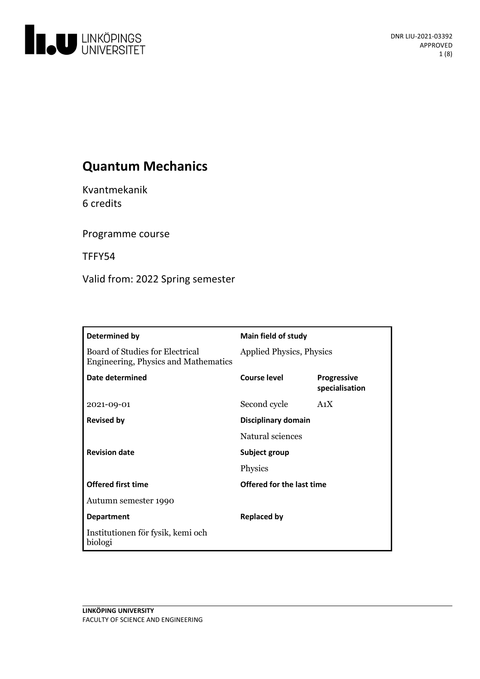

# **Quantum Mechanics**

Kvantmekanik 6 credits

Programme course

TFFY54

Valid from: 2022 Spring semester

| Determined by                                                                         | <b>Main field of study</b>      |                                      |
|---------------------------------------------------------------------------------------|---------------------------------|--------------------------------------|
| <b>Board of Studies for Electrical</b><br><b>Engineering, Physics and Mathematics</b> | <b>Applied Physics, Physics</b> |                                      |
| Date determined                                                                       | <b>Course level</b>             | <b>Progressive</b><br>specialisation |
| 2021-09-01                                                                            | Second cycle                    | A <sub>1</sub> X                     |
| <b>Revised by</b>                                                                     | Disciplinary domain             |                                      |
|                                                                                       | Natural sciences                |                                      |
| <b>Revision date</b>                                                                  | Subject group                   |                                      |
|                                                                                       | Physics                         |                                      |
| <b>Offered first time</b>                                                             | Offered for the last time       |                                      |
| Autumn semester 1990                                                                  |                                 |                                      |
| <b>Department</b>                                                                     | <b>Replaced by</b>              |                                      |
| Institutionen för fysik, kemi och<br>biologi                                          |                                 |                                      |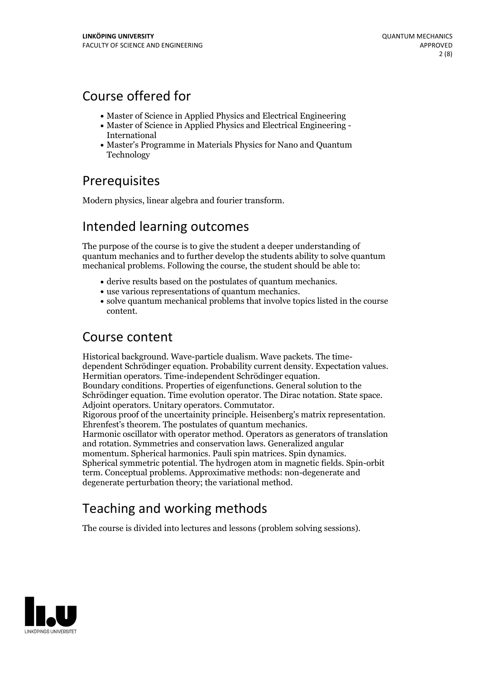## Course offered for

- Master of Science in Applied Physics and Electrical Engineering
- Master of Science in Applied Physics and Electrical Engineering International
- Master's Programme in Materials Physics for Nano and Quantum Technology

## **Prerequisites**

Modern physics, linear algebra and fourier transform.

# Intended learning outcomes

The purpose of the course is to give the student a deeper understanding of quantum mechanics and to further develop the students ability to solve quantum mechanical problems. Following the course, the student should be able to:

- 
- 
- derive results based on the postulates of quantum mechanics.<br>• use various representations of quantum mechanics.<br>• solve quantum mechanical problems that involve topics listed in the course content.

## Course content

Historical background. Wave-particle dualism. Wave packets. The time-<br>dependent Schrödinger equation. Probability current density. Expectation values.<br>Hermitian operators. Time-independent Schrödinger equation.<br>Boundary co Schrödinger equation. Time evolution operator. The Dirac notation. State space.<br>Adjoint operators. Unitary operators. Commutator.<br>Rigorous proof of the uncertainity principle. Heisenberg's matrix representation.<br>Ehrenfest' Harmonic oscillator with operator method. Operators as generators of translation and rotation. Symmetries and conservation laws. Generalized angular Spherical symmetric potential. The hydrogen atom in magnetic fields. Spin-orbit term. Conceptual problems. Approximative methods: non-degenerate and degenerate perturbation theory; the variational method.

# Teaching and working methods

The course is divided into lectures and lessons (problem solving sessions).

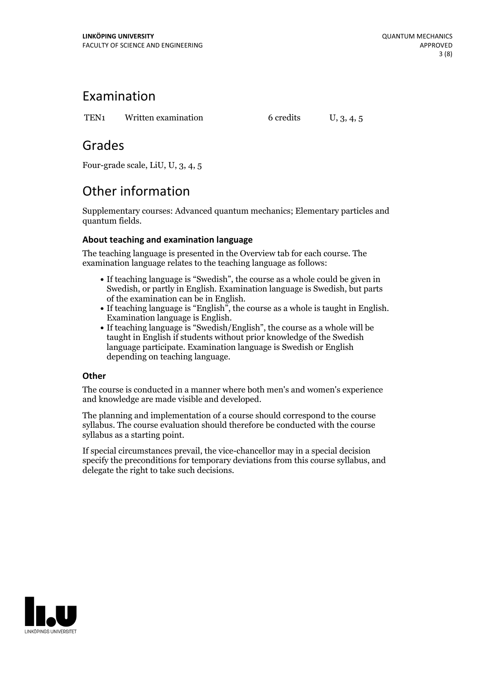## Examination

TEN1 Written examination 6 credits U, 3, 4, 5

## Grades

Four-grade scale, LiU, U, 3, 4, 5

# Other information

Supplementary courses: Advanced quantum mechanics; Elementary particles and quantum fields.

## **About teaching and examination language**

The teaching language is presented in the Overview tab for each course. The examination language relates to the teaching language as follows:

- If teaching language is "Swedish", the course as a whole could be given in Swedish, or partly in English. Examination language is Swedish, but parts
- of the examination can be in English. If teaching language is "English", the course as <sup>a</sup> whole is taught in English. Examination language is English. If teaching language is "Swedish/English", the course as <sup>a</sup> whole will be
- taught in English if students without prior knowledge of the Swedish language participate. Examination language is Swedish or English depending on teaching language.

## **Other**

The course is conducted in a manner where both men's and women's experience and knowledge are made visible and developed.

The planning and implementation of a course should correspond to the course syllabus. The course evaluation should therefore be conducted with the course syllabus as a starting point.

If special circumstances prevail, the vice-chancellor may in a special decision specify the preconditions for temporary deviations from this course syllabus, and delegate the right to take such decisions.

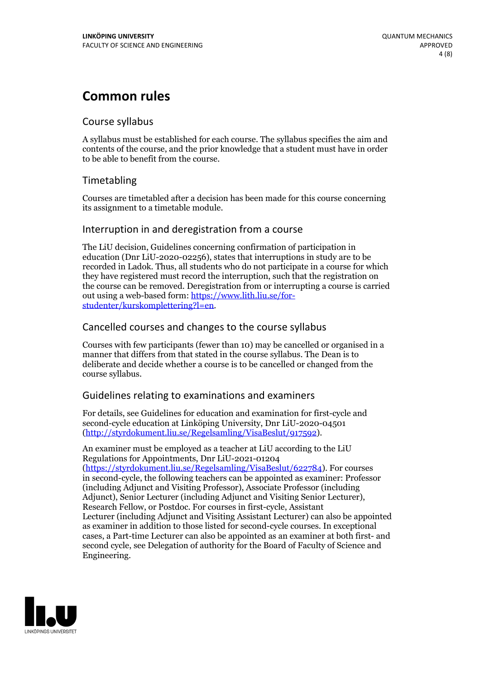# **Common rules**

### Course syllabus

A syllabus must be established for each course. The syllabus specifies the aim and contents of the course, and the prior knowledge that a student must have in order to be able to benefit from the course.

## Timetabling

Courses are timetabled after a decision has been made for this course concerning its assignment to a timetable module.

### Interruption in and deregistration from a course

The LiU decision, Guidelines concerning confirmation of participation in education (Dnr LiU-2020-02256), states that interruptions in study are to be recorded in Ladok. Thus, all students who do not participate in a course for which they have registered must record the interruption, such that the registration on the course can be removed. Deregistration from or interrupting a course is carried out using <sup>a</sup> web-based form: https://www.lith.liu.se/for- [studenter/kurskomplettering?l=en.](https://www.lith.liu.se/for-studenter/kurskomplettering?l=en)

## Cancelled courses and changes to the course syllabus

Courses with few participants (fewer than 10) may be cancelled or organised in a manner that differs from that stated in the course syllabus. The Dean is to deliberate and decide whether a course is to be cancelled or changed from the course syllabus.

## Guidelines relating to examinations and examiners

For details, see Guidelines for education and examination for first-cycle and second-cycle education at Linköping University, Dnr LiU-2020-04501 [\(http://styrdokument.liu.se/Regelsamling/VisaBeslut/917592\)](http://styrdokument.liu.se/Regelsamling/VisaBeslut/917592).

An examiner must be employed as a teacher at LiU according to the LiU Regulations for Appointments, Dnr LiU-2021-01204 [\(https://styrdokument.liu.se/Regelsamling/VisaBeslut/622784](https://styrdokument.liu.se/Regelsamling/VisaBeslut/622784)). For courses in second-cycle, the following teachers can be appointed as examiner: Professor (including Adjunct and Visiting Professor), Associate Professor (including Adjunct), Senior Lecturer (including Adjunct and Visiting Senior Lecturer), Research Fellow, or Postdoc. For courses in first-cycle, Assistant Lecturer (including Adjunct and Visiting Assistant Lecturer) can also be appointed as examiner in addition to those listed for second-cycle courses. In exceptional cases, a Part-time Lecturer can also be appointed as an examiner at both first- and second cycle, see Delegation of authority for the Board of Faculty of Science and Engineering.

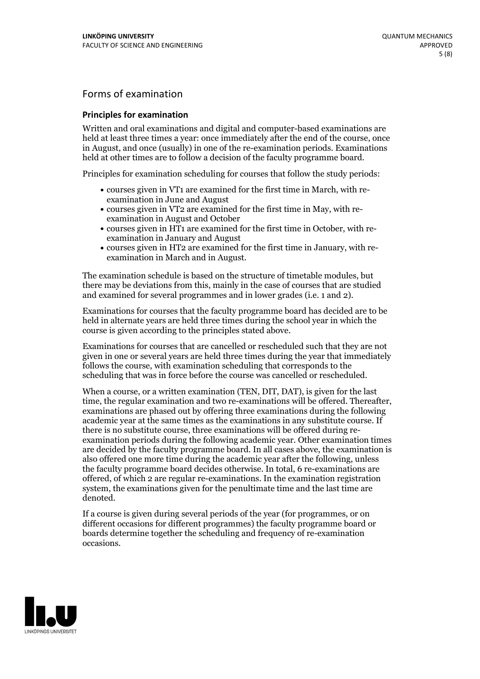## Forms of examination

#### **Principles for examination**

Written and oral examinations and digital and computer-based examinations are held at least three times a year: once immediately after the end of the course, once in August, and once (usually) in one of the re-examination periods. Examinations held at other times are to follow a decision of the faculty programme board.

Principles for examination scheduling for courses that follow the study periods:

- courses given in VT1 are examined for the first time in March, with re-examination in June and August
- courses given in VT2 are examined for the first time in May, with re-examination in August and October
- courses given in HT1 are examined for the first time in October, with re-examination in January and August
- courses given in HT2 are examined for the first time in January, with re-examination in March and in August.

The examination schedule is based on the structure of timetable modules, but there may be deviations from this, mainly in the case of courses that are studied and examined for several programmes and in lower grades (i.e. 1 and 2).

Examinations for courses that the faculty programme board has decided are to be held in alternate years are held three times during the school year in which the course is given according to the principles stated above.

Examinations for courses that are cancelled orrescheduled such that they are not given in one or several years are held three times during the year that immediately follows the course, with examination scheduling that corresponds to the scheduling that was in force before the course was cancelled or rescheduled.

When a course, or a written examination (TEN, DIT, DAT), is given for the last time, the regular examination and two re-examinations will be offered. Thereafter, examinations are phased out by offering three examinations during the following academic year at the same times as the examinations in any substitute course. If there is no substitute course, three examinations will be offered during re- examination periods during the following academic year. Other examination times are decided by the faculty programme board. In all cases above, the examination is also offered one more time during the academic year after the following, unless the faculty programme board decides otherwise. In total, 6 re-examinations are offered, of which 2 are regular re-examinations. In the examination registration system, the examinations given for the penultimate time and the last time are denoted.

If a course is given during several periods of the year (for programmes, or on different occasions for different programmes) the faculty programme board or boards determine together the scheduling and frequency of re-examination occasions.

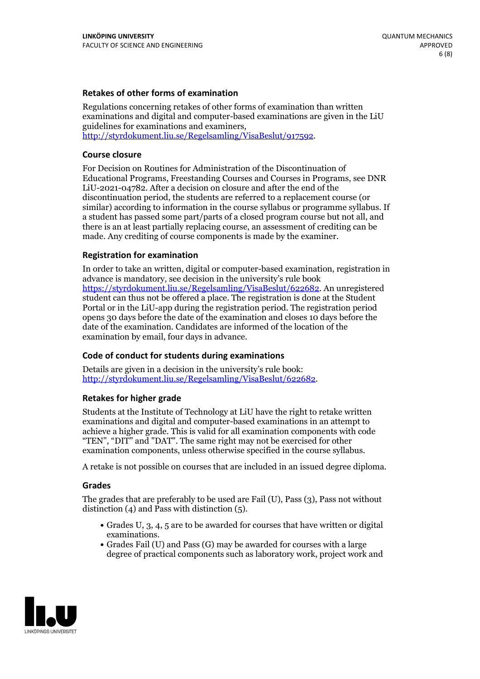### **Retakes of other forms of examination**

Regulations concerning retakes of other forms of examination than written examinations and digital and computer-based examinations are given in the LiU guidelines for examinations and examiners, [http://styrdokument.liu.se/Regelsamling/VisaBeslut/917592.](http://styrdokument.liu.se/Regelsamling/VisaBeslut/917592)

#### **Course closure**

For Decision on Routines for Administration of the Discontinuation of Educational Programs, Freestanding Courses and Courses in Programs, see DNR LiU-2021-04782. After a decision on closure and after the end of the discontinuation period, the students are referred to a replacement course (or similar) according to information in the course syllabus or programme syllabus. If a student has passed some part/parts of a closed program course but not all, and there is an at least partially replacing course, an assessment of crediting can be made. Any crediting of course components is made by the examiner.

#### **Registration for examination**

In order to take an written, digital or computer-based examination, registration in advance is mandatory, see decision in the university's rule book [https://styrdokument.liu.se/Regelsamling/VisaBeslut/622682.](https://styrdokument.liu.se/Regelsamling/VisaBeslut/622682) An unregistered student can thus not be offered a place. The registration is done at the Student Portal or in the LiU-app during the registration period. The registration period opens 30 days before the date of the examination and closes 10 days before the date of the examination. Candidates are informed of the location of the examination by email, four days in advance.

#### **Code of conduct for students during examinations**

Details are given in a decision in the university's rule book: <http://styrdokument.liu.se/Regelsamling/VisaBeslut/622682>.

#### **Retakes for higher grade**

Students at the Institute of Technology at LiU have the right to retake written examinations and digital and computer-based examinations in an attempt to achieve a higher grade. This is valid for all examination components with code "TEN", "DIT" and "DAT". The same right may not be exercised for other examination components, unless otherwise specified in the course syllabus.

A retake is not possible on courses that are included in an issued degree diploma.

#### **Grades**

The grades that are preferably to be used are Fail (U), Pass (3), Pass not without distinction  $(4)$  and Pass with distinction  $(5)$ .

- Grades U, 3, 4, 5 are to be awarded for courses that have written or digital examinations.<br>• Grades Fail (U) and Pass (G) may be awarded for courses with a large
- degree of practical components such as laboratory work, project work and

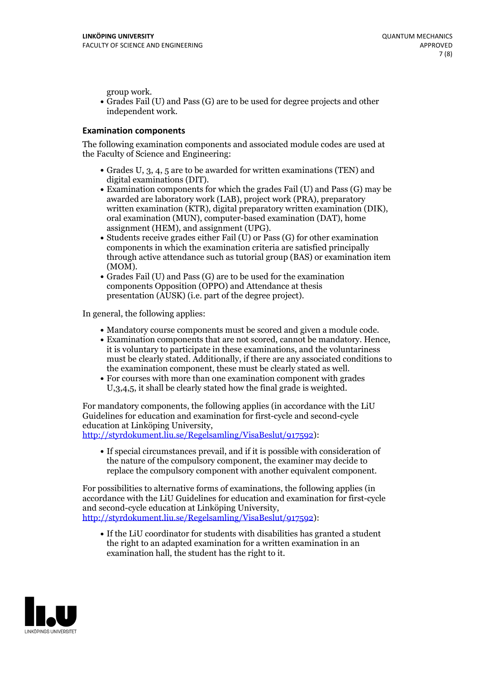group work.<br>• Grades Fail (U) and Pass (G) are to be used for degree projects and other independent work.

### **Examination components**

The following examination components and associated module codes are used at the Faculty of Science and Engineering:

- Grades U, 3, 4, 5 are to be awarded for written examinations (TEN) and
- digital examinations (DIT).<br>• Examination components for which the grades Fail (U) and Pass (G) may be awarded are laboratory work (LAB), project work (PRA), preparatory written examination (KTR), digital preparatory written examination (DIK), oral examination (MUN), computer-based examination (DAT), home
- assignment (HEM), and assignment (UPG).<br>• Students receive grades either Fail (U) or Pass (G) for other examination components in which the examination criteria are satisfied principally through active attendance such as tutorial group (BAS) or examination item
- (MOM).<br>• Grades Fail (U) and Pass (G) are to be used for the examination components Opposition (OPPO) and Attendance at thesis presentation (AUSK) (i.e. part of the degree project).

In general, the following applies:

- 
- Mandatory course components must be scored and given <sup>a</sup> module code. Examination components that are not scored, cannot be mandatory. Hence, it is voluntary to participate in these examinations, and the voluntariness must be clearly stated. Additionally, if there are any associated conditions to
- the examination component, these must be clearly stated as well.<br>• For courses with more than one examination component with grades U,3,4,5, it shall be clearly stated how the final grade is weighted.

For mandatory components, the following applies (in accordance with the LiU Guidelines for education and examination for first-cycle and second-cycle education at Linköping University,<br>[http://styrdokument.liu.se/Regelsamling/VisaBeslut/917592\)](http://styrdokument.liu.se/Regelsamling/VisaBeslut/917592):

If special circumstances prevail, and if it is possible with consideration of the nature of the compulsory component, the examiner may decide to replace the compulsory component with another equivalent component.

For possibilities to alternative forms of examinations, the following applies (in accordance with the LiU Guidelines for education and examination for first-cycle [http://styrdokument.liu.se/Regelsamling/VisaBeslut/917592\)](http://styrdokument.liu.se/Regelsamling/VisaBeslut/917592):

If the LiU coordinator for students with disabilities has granted a student the right to an adapted examination for a written examination in an examination hall, the student has the right to it.